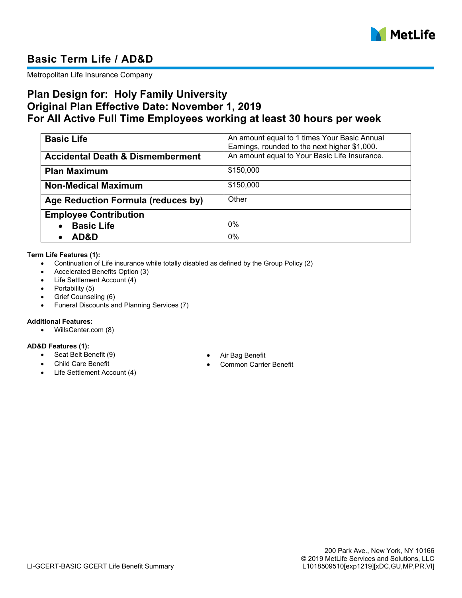

# **Basic Term Life / AD&D**

Metropolitan Life Insurance Company

## **Plan Design for: Holy Family University Original Plan Effective Date: November 1, 2019 For All Active Full Time Employees working at least 30 hours per week**

| <b>Basic Life</b>                           | An amount equal to 1 times Your Basic Annual  |
|---------------------------------------------|-----------------------------------------------|
|                                             | Earnings, rounded to the next higher \$1,000. |
| <b>Accidental Death &amp; Dismemberment</b> | An amount equal to Your Basic Life Insurance. |
| <b>Plan Maximum</b>                         | \$150,000                                     |
| <b>Non-Medical Maximum</b>                  | \$150,000                                     |
| Age Reduction Formula (reduces by)          | Other                                         |
| <b>Employee Contribution</b>                |                                               |
| <b>Basic Life</b>                           | 0%                                            |
| AD&D                                        | 0%                                            |

#### **Term Life Features (1):**

- Continuation of Life insurance while totally disabled as defined by the Group Policy (2)
- Accelerated Benefits Option (3)
- Life Settlement Account (4)
- $\bullet$  Portability (5)
- Grief Counseling (6)
- Funeral Discounts and Planning Services (7)

#### **Additional Features:**

WillsCenter.com (8)

## **AD&D Features (1):**

- Seat Belt Benefit (9) Air Bag Benefit
- 
- Life Settlement Account (4)
- 
- Common Carrier Benefit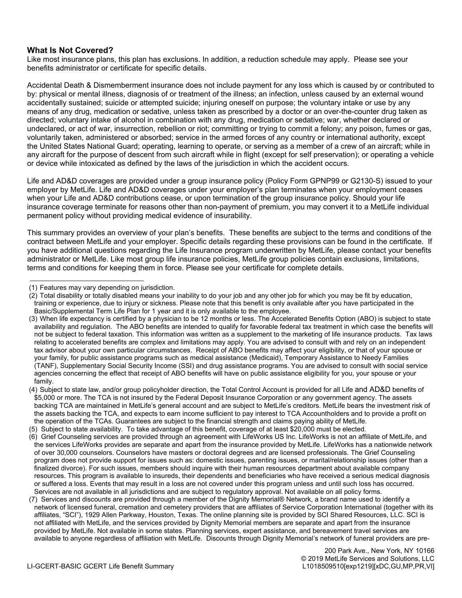### **What Is Not Covered?**

Like most insurance plans, this plan has exclusions. In addition, a reduction schedule may apply. Please see your benefits administrator or certificate for specific details.

Accidental Death & Dismemberment insurance does not include payment for any loss which is caused by or contributed to by: physical or mental illness, diagnosis of or treatment of the illness; an infection, unless caused by an external wound accidentally sustained; suicide or attempted suicide; injuring oneself on purpose; the voluntary intake or use by any means of any drug, medication or sedative, unless taken as prescribed by a doctor or an over-the-counter drug taken as directed; voluntary intake of alcohol in combination with any drug, medication or sedative; war, whether declared or undeclared, or act of war, insurrection, rebellion or riot; committing or trying to commit a felony; any poison, fumes or gas, voluntarily taken, administered or absorbed; service in the armed forces of any country or international authority, except the United States National Guard; operating, learning to operate, or serving as a member of a crew of an aircraft; while in any aircraft for the purpose of descent from such aircraft while in flight (except for self preservation); or operating a vehicle or device while intoxicated as defined by the laws of the jurisdiction in which the accident occurs.

Life and AD&D coverages are provided under a group insurance policy (Policy Form GPNP99 or G2130-S) issued to your employer by MetLife. Life and AD&D coverages under your employer's plan terminates when your employment ceases when your Life and AD&D contributions cease, or upon termination of the group insurance policy. Should your life insurance coverage terminate for reasons other than non-payment of premium, you may convert it to a MetLife individual permanent policy without providing medical evidence of insurability.

This summary provides an overview of your plan's benefits. These benefits are subject to the terms and conditions of the contract between MetLife and your employer. Specific details regarding these provisions can be found in the certificate. If you have additional questions regarding the Life Insurance program underwritten by MetLife, please contact your benefits administrator or MetLife. Like most group life insurance policies, MetLife group policies contain exclusions, limitations, terms and conditions for keeping them in force. Please see your certificate for complete details.

 <sup>(1)</sup> Features may vary depending on jurisdiction.

 <sup>(2)</sup> Total disability or totally disabled means your inability to do your job and any other job for which you may be fit by education, training or experience, due to injury or sickness. Please note that this benefit is only available after you have participated in the Basic/Supplemental Term Life Plan for 1 year and it is only available to the employee.

 <sup>(3)</sup> When life expectancy is certified by a physician to be 12 months or less. The Accelerated Benefits Option (ABO) is subject to state availability and regulation. The ABO benefits are intended to qualify for favorable federal tax treatment in which case the benefits will not be subject to federal taxation. This information was written as a supplement to the marketing of life insurance products. Tax laws relating to accelerated benefits are complex and limitations may apply. You are advised to consult with and rely on an independent tax advisor about your own particular circumstances. Receipt of ABO benefits may affect your eligibility, or that of your spouse or your family, for public assistance programs such as medical assistance (Medicaid), Temporary Assistance to Needy Families (TANF), Supplementary Social Security Income (SSI) and drug assistance programs. You are advised to consult with social service agencies concerning the effect that receipt of ABO benefits will have on public assistance eligibility for you, your spouse or your family.

 <sup>(4)</sup> Subject to state law, and/or group policyholder direction, the Total Control Account is provided for all Life and AD&D benefits of \$5,000 or more. The TCA is not insured by the Federal Deposit Insurance Corporation or any government agency. The assets backing TCA are maintained in MetLife's general account and are subject to MetLife's creditors. MetLife bears the investment risk of the assets backing the TCA, and expects to earn income sufficient to pay interest to TCA Accountholders and to provide a profit on the operation of the TCAs. Guarantees are subject to the financial strength and claims paying ability of MetLife.

 <sup>(5)</sup> Subject to state availability. To take advantage of this benefit, coverage of at least \$20,000 must be elected.

 <sup>(6)</sup> Grief Counseling services are provided through an agreement with LifeWorks US Inc. LifeWorks is not an affiliate of MetLife, and the services LifeWorks provides are separate and apart from the insurance provided by MetLife. LifeWorks has a nationwide network of over 30,000 counselors. Counselors have masters or doctoral degrees and are licensed professionals. The Grief Counseling program does not provide support for issues such as: domestic issues, parenting issues, or marital/relationship issues (other than a finalized divorce). For such issues, members should inquire with their human resources department about available company resources. This program is available to insureds, their dependents and beneficiaries who have received a serious medical diagnosis or suffered a loss. Events that may result in a loss are not covered under this program unless and until such loss has occurred. Services are not available in all jurisdictions and are subject to regulatory approval. Not available on all policy forms.

 <sup>(7)</sup> Services and discounts are provided through a member of the Dignity Memorial® Network, a brand name used to identify a network of licensed funeral, cremation and cemetery providers that are affiliates of Service Corporation International (together with its affiliates, "SCI"), 1929 Allen Parkway, Houston, Texas. The online planning site is provided by SCI Shared Resources, LLC. SCI is not affiliated with MetLife, and the services provided by Dignity Memorial members are separate and apart from the insurance provided by MetLife. Not available in some states. Planning services, expert assistance, and bereavement travel services are available to anyone regardless of affiliation with MetLife. Discounts through Dignity Memorial's network of funeral providers are pre-